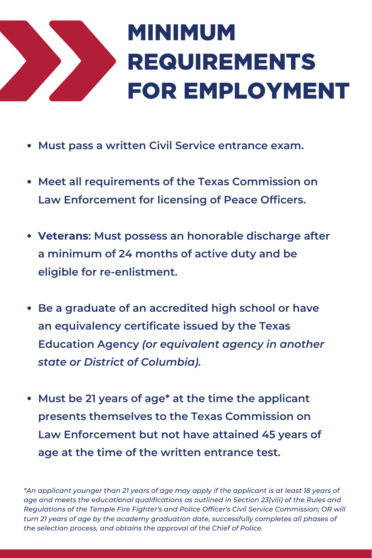

## MINIMUM REQUIREMENTS FOR EMPLOYMENT

- **Must pass a written Civil Service entrance exam.**
- **Meet all requirements of the Texas Commission on Law Enforcement for licensing of Peace Officers.**
- **Veterans: Must possess an honorable discharge after a minimum of 24 months of active duty and be eligible for re-enlistment.**
- **Be a graduate of an accredited high school or have an equivalency certificate issued by the Texas Education Agency** *(or equivalent agency in another state or District of Columbia).*
- **Must be 21 years of age\* at the time the applicant presents themselves to the Texas Commission on Law Enforcement but not have attained 45 years of age at the time of the written entrance test.**

\*An applicant younger than 21 years of age may apply if the applicant is at least 18 years of *age and meets the educational qualifications as outlined in Section 23(viii) of the Rules and Regulations of the Temple Fire Fighter's and Police Officer's Civil Service Commission; OR will turn 21 years of age by the academy graduation date, successfully completes all phases of the selection process, and obtains the approval of the Chief of Police.*